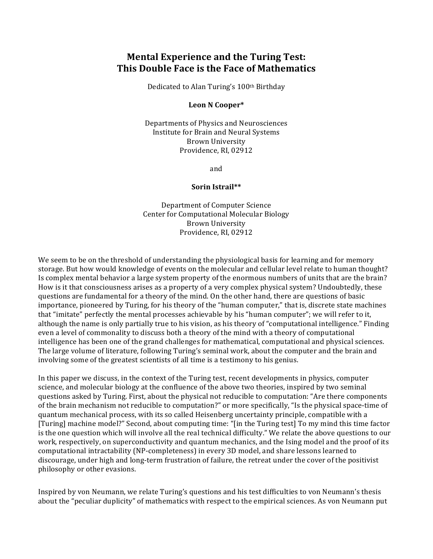# **Mental'Experience'and'the'Turing'Test: This'Double'Face'is'the'Face'of'Mathematics**

Dedicated to Alan Turing's 100th Birthday

#### **Leon'N'Cooper\***

Departments of Physics and Neurosciences Institute for Brain and Neural Systems Brown University Providence, RI, 02912

and

#### Sorin Istrail\*\*

Department of Computer Science Center for Computational Molecular Biology Brown University Providence, RI, 02912

We seem to be on the threshold of understanding the physiological basis for learning and for memory storage. But how would knowledge of events on the molecular and cellular level relate to human thought? Is complex mental behavior a large system property of the enormous numbers of units that are the brain? How is it that consciousness arises as a property of a very complex physical system? Undoubtedly, these questions are fundamental for a theory of the mind. On the other hand, there are questions of basic importance, pioneered by Turing, for his theory of the "human computer," that is, discrete state machines that "imitate" perfectly the mental processes achievable by his "human computer"; we will refer to it, although the name is only partially true to his vision, as his theory of "computational intelligence." Finding even a level of commonality to discuss both a theory of the mind with a theory of computational intelligence has been one of the grand challenges for mathematical, computational and physical sciences. The large volume of literature, following Turing's seminal work, about the computer and the brain and involving some of the greatest scientists of all time is a testimony to his genius.

In this paper we discuss, in the context of the Turing test, recent developments in physics, computer science, and molecular biology at the confluence of the above two theories, inspired by two seminal questions asked by Turing. First, about the physical not reducible to computation: "Are there components of the brain mechanism not reducible to computation?" or more specifically, "Is the physical space-time of quantum mechanical process, with its so called Heisenberg uncertainty principle, compatible with a [Turing] machine model?" Second, about computing time: "[in the Turing test] To my mind this time factor is the one question which will involve all the real technical difficulty." We relate the above questions to our work, respectively, on superconductivity and quantum mechanics, and the Ising model and the proof of its computational intractability (NP-completeness) in every 3D model, and share lessons learned to discourage, under high and long-term frustration of failure, the retreat under the cover of the positivist philosophy or other evasions.

Inspired by von Neumann, we relate Turing's questions and his test difficulties to von Neumann's thesis about the "peculiar duplicity" of mathematics with respect to the empirical sciences. As von Neumann put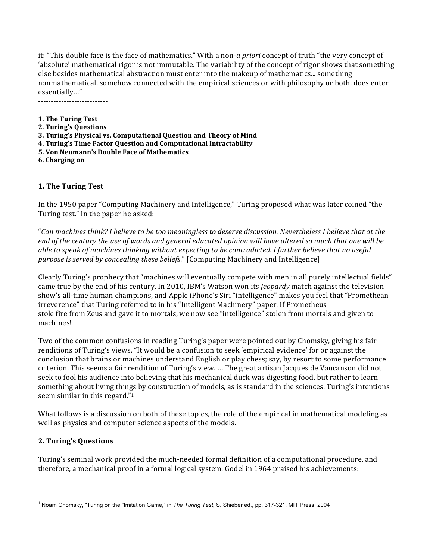it: "This double face is the face of mathematics." With a non-*a priori* concept of truth "the very concept of 'absolute' mathematical rigor is not immutable. The variability of the concept of rigor shows that something else besides mathematical abstraction must enter into the makeup of mathematics... something nonmathematical, somehow connected with the empirical sciences or with philosophy or both, does enter essentially…"

------------------------

- **1.'The'Turing'Test**
- **2.'Turing's'Questions**
- **3.'Turing's'Physical'vs. Computational'Question'and'Theory'of'Mind'**
- **4.'Turing's'Time'Factor'Question and'Computational'Intractability**
- **5.'Von'Neumann's'Double'Face'of'Mathematics**
- **6.** Charging on

### **1.'The'Turing'Test**

In the 1950 paper "Computing Machinery and Intelligence," Turing proposed what was later coined "the Turing test." In the paper he asked:

"Can machines think? I believe to be too meaningless to deserve discussion. Nevertheless I believe that at the end of the century the use of words and general educated opinion will have altered so much that one will be able to speak of machines thinking without expecting to be contradicted. I further believe that no useful *purpose is served by concealing these beliefs.*" [Computing Machinery and Intelligence]

Clearly Turing's prophecy that "machines will eventually compete with men in all purely intellectual fields" came true by the end of his century. In 2010, IBM's Watson won its *Jeopardy* match against the television show's all-time human champions, and Apple iPhone's Siri "intelligence" makes you feel that "Promethean irreverence" that Turing referred to in his "Intelligent Machinery" paper. If Prometheus stole fire from Zeus and gave it to mortals, we now see "intelligence" stolen from mortals and given to machines!

Two of the common confusions in reading Turing's paper were pointed out by Chomsky, giving his fair renditions of Turing's views. "It would be a confusion to seek 'empirical evidence' for or against the conclusion that brains or machines understand English or play chess; say, by resort to some performance criterion. This seems a fair rendition of Turing's view. … The great artisan Jacques de Vaucanson did not seek to fool his audience into believing that his mechanical duck was digesting food, but rather to learn something about living things by construction of models, as is standard in the sciences. Turing's intentions seem similar in this regard." $1$ 

What follows is a discussion on both of these topics, the role of the empirical in mathematical modeling as well as physics and computer science aspects of the models.

## **2.'Turing's'Questions**

Turing's seminal work provided the much-needed formal definition of a computational procedure, and therefore, a mechanical proof in a formal logical system. Godel in 1964 praised his achievements:

 <sup>1</sup> Noam Chomsky, "Turing on the "Imitation Game," in *The Turing Test*, S. Shieber ed., pp. 317-321, MIT Press, 2004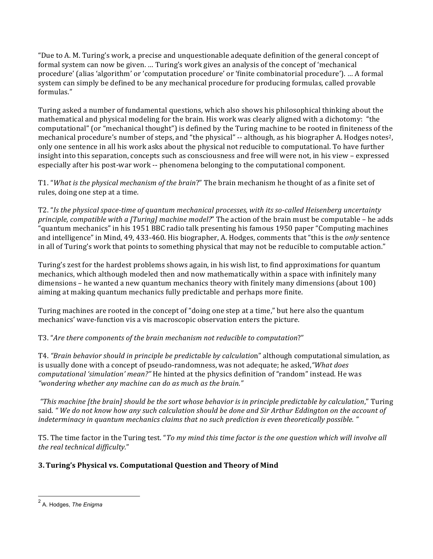"Due to A.M. Turing's work, a precise and unquestionable adequate definition of the general concept of formal system can now be given. … Turing's work gives an analysis of the concept of 'mechanical procedure' (alias 'algorithm' or 'computation procedure' or 'finite combinatorial procedure'). … A formal system can simply be defined to be any mechanical procedure for producing formulas, called provable formulas."

Turing asked a number of fundamental questions, which also shows his philosophical thinking about the mathematical and physical modeling for the brain. His work was clearly aligned with a dichotomy: "the computational" (or "mechanical thought") is defined by the Turing machine to be rooted in finiteness of the mechanical procedure's number of steps, and "the physical" -- although, as his biographer A. Hodges notes<sup>2</sup>, only one sentence in all his work asks about the physical not reducible to computational. To have further insight into this separation, concepts such as consciousness and free will were not, in his view – expressed especially after his post-war work -- phenomena belonging to the computational component.

T1. "What is the physical mechanism of the brain?" The brain mechanism he thought of as a finite set of rules, doing one step at a time.

T2. "Is the physical space-time of quantum mechanical processes, with its so-called Heisenberg uncertainty *principle, compatible with a [Turing] machine model?"* The action of the brain must be computable – he adds "quantum mechanics" in his 1951 BBC radio talk presenting his famous 1950 paper "Computing machines" and intelligence" in Mind, 49, 433-460. His biographer, A. Hodges, comments that "this is the *only* sentence" in all of Turing's work that points to something physical that may not be reducible to computable action."

Turing's zest for the hardest problems shows again, in his wish list, to find approximations for quantum mechanics, which although modeled then and now mathematically within a space with infinitely many dimensions – he wanted a new quantum mechanics theory with finitely many dimensions (about 100) aiming at making quantum mechanics fully predictable and perhaps more finite.

Turing machines are rooted in the concept of "doing one step at a time," but here also the quantum mechanics' wave-function vis a vis macroscopic observation enters the picture.

## T3. "Are there components of the brain mechanism not reducible to computation?"

T4. *"Brain behavior should in principle be predictable by calculation"* although computational simulation, as is usually done with a concept of pseudo-randomness, was not adequate; he asked, "What does" *computational 'simulation' mean?"* He hinted at the physics definition of "random" instead. He was "wondering whether any machine can do as much as the brain."

"This machine [the brain] should be the sort whose behavior is in principle predictable by calculation," Turing said. "We do not know how any such calculation should be done and Sir Arthur Eddington on the account of indeterminacy in quantum mechanics claims that no such prediction is even theoretically possible."

T5. The time factor in the Turing test. "*To my mind this time factor is the one question which will involve all* the real technical difficulty."

# **3. Turing's'Physical'vs. Computational'Question'and'Theory'of'Mind'**

 <sup>2</sup> A. Hodges, *The Enigma*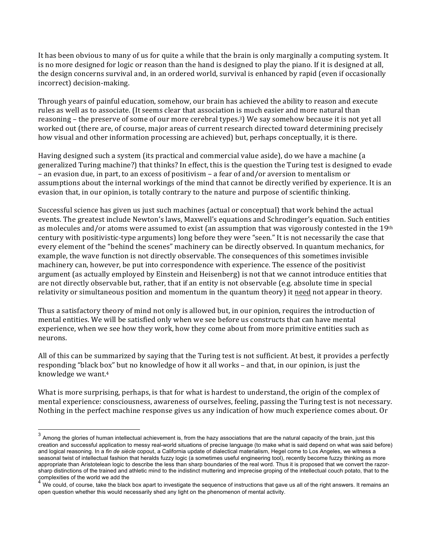It has been obvious to many of us for quite a while that the brain is only marginally a computing system. It is no more designed for logic or reason than the hand is designed to play the piano. If it is designed at all, the design concerns survival and, in an ordered world, survival is enhanced by rapid (even if occasionally incorrect) decision-making.

Through years of painful education, somehow, our brain has achieved the ability to reason and execute rules as well as to associate. (It seems clear that association is much easier and more natural than reasoning – the preserve of some of our more cerebral types.<sup>3</sup>) We say somehow because it is not yet all worked out (there are, of course, major areas of current research directed toward determining precisely how visual and other information processing are achieved) but, perhaps conceptually, it is there.

Having designed such a system (its practical and commercial value aside), do we have a machine (a generalized Turing machine?) that thinks? In effect, this is the question the Turing test is designed to evade – an evasion due, in part, to an excess of positivism – a fear of and/or aversion to mentalism or assumptions about the internal workings of the mind that cannot be directly verified by experience. It is an evasion that, in our opinion, is totally contrary to the nature and purpose of scientific thinking.

Successful science has given us just such machines (actual or conceptual) that work behind the actual events. The greatest include Newton's laws, Maxwell's equations and Schrodinger's equation. Such entities as molecules and/or atoms were assumed to exist (an assumption that was vigorously contested in the 19th century with positivistic-type arguments) long before they were "seen." It is not necessarily the case that every element of the "behind the scenes" machinery can be directly observed. In quantum mechanics, for example, the wave function is not directly observable. The consequences of this sometimes invisible machinery can, however, be put into correspondence with experience. The essence of the positivist argument (as actually employed by Einstein and Heisenberg) is not that we cannot introduce entities that are not directly observable but, rather, that if an entity is not observable (e.g. absolute time in special) relativity or simultaneous position and momentum in the quantum theory) it need not appear in theory.

Thus a satisfactory theory of mind not only is allowed but, in our opinion, requires the introduction of mental entities. We will be satisfied only when we see before us constructs that can have mental experience, when we see how they work, how they come about from more primitive entities such as neurons.

All of this can be summarized by saying that the Turing test is not sufficient. At best, it provides a perfectly responding "black box" but no knowledge of how it all works - and that, in our opinion, is just the knowledge we want.<sup>4</sup>

What is more surprising, perhaps, is that for what is hardest to understand, the origin of the complex of mental experience: consciousness, awareness of ourselves, feeling, passing the Turing test is not necessary. Nothing in the perfect machine response gives us any indication of how much experience comes about. Or

 $3$  Among the glories of human intellectual achievement is, from the hazy associations that are the natural capacity of the brain, just this creation and successful application to messy real-world situations of precise language (to make what is said depend on what was said before) and logical reasoning. In a *fin de siècle* copout, a California update of dialectical materialism, Hegel come to Los Angeles, we witness a seasonal twist of intellectual fashion that heralds fuzzy logic (a sometimes useful engineering tool), recently become fuzzy thinking as more appropriate than Aristotelean logic to describe the less than sharp boundaries of the real word. Thus it is proposed that we convert the razorsharp distinctions of the trained and athletic mind to the indistinct muttering and imprecise groping of the intellectual couch potato, that to the complexities of the world we add the

We could, of course, take the black box apart to investigate the sequence of instructions that gave us all of the right answers. It remains an open question whether this would necessarily shed any light on the phenomenon of mental activity.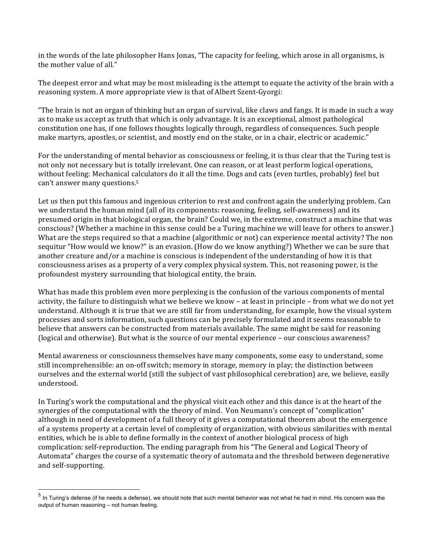in the words of the late philosopher Hans Jonas, "The capacity for feeling, which arose in all organisms, is the mother value of all."

The deepest error and what may be most misleading is the attempt to equate the activity of the brain with a reasoning system. A more appropriate view is that of Albert Szent-Gyorgi:

"The brain is not an organ of thinking but an organ of survival, like claws and fangs. It is made in such a way as to make us accept as truth that which is only advantage. It is an exceptional, almost pathological constitution one has, if one follows thoughts logically through, regardless of consequences. Such people make martyrs, apostles, or scientist, and mostly end on the stake, or in a chair, electric or academic."

For the understanding of mental behavior as consciousness or feeling, it is thus clear that the Turing test is not only not necessary but is totally irrelevant. One can reason, or at least perform logical operations, without feeling: Mechanical calculators do it all the time. Dogs and cats (even turtles, probably) feel but can't answer many questions. $5$ 

Let us then put this famous and ingenious criterion to rest and confront again the underlying problem. Can we understand the human mind (all of its components: reasoning, feeling, self-awareness) and its presumed origin in that biological organ, the brain? Could we, in the extreme, construct a machine that was conscious? (Whether a machine in this sense could be a Turing machine we will leave for others to answer.) What are the steps required so that a machine (algorithmic or not) can experience mental activity? The non sequitur "How would we know?" is an evasion. (How do we know anything?) Whether we can be sure that another creature and/or a machine is conscious is independent of the understanding of how it is that consciousness arises as a property of a very complex physical system. This, not reasoning power, is the profoundest mystery surrounding that biological entity, the brain.

What has made this problem even more perplexing is the confusion of the various components of mental activity, the failure to distinguish what we believe we know – at least in principle – from what we do not yet understand. Although it is true that we are still far from understanding, for example, how the visual system processes and sorts information, such questions can be precisely formulated and it seems reasonable to believe that answers can be constructed from materials available. The same might be said for reasoning (logical and otherwise). But what is the source of our mental experience - our conscious awareness?

Mental awareness or consciousness themselves have many components, some easy to understand, some still incomprehensible: an on-off switch; memory in storage, memory in play; the distinction between ourselves and the external world (still the subject of vast philosophical cerebration) are, we believe, easily understood.

In Turing's work the computational and the physical visit each other and this dance is at the heart of the synergies of the computational with the theory of mind. Von Neumann's concept of "complication" although in need of development of a full theory of it gives a computational theorem about the emergence of a systems property at a certain level of complexity of organization, with obvious similarities with mental entities, which he is able to define formally in the context of another biological process of high complication: self-reproduction. The ending paragraph from his "The General and Logical Theory of Automata" charges the course of a systematic theory of automata and the threshold between degenerative and self-supporting.

 $<sup>5</sup>$  In Turing's defense (if he needs a defense), we should note that such mental behavior was not what he had in mind. His concern was the</sup> output of human reasoning – not human feeling.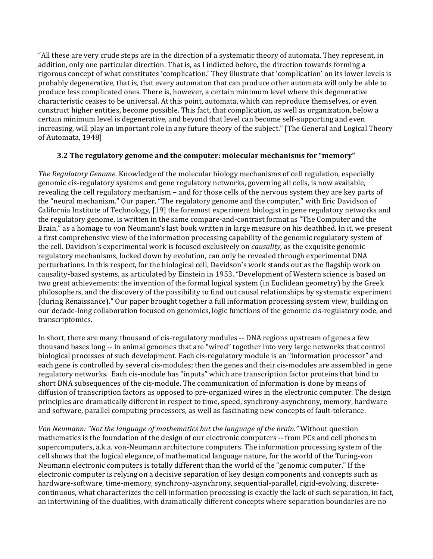"All these are very crude steps are in the direction of a systematic theory of automata. They represent, in addition, only one particular direction. That is, as I indicted before, the direction towards forming a rigorous concept of what constitutes 'complication.' They illustrate that 'complication' on its lower levels is probably degenerative, that is, that every automaton that can produce other automata will only be able to produce less complicated ones. There is, however, a certain minimum level where this degenerative characteristic ceases to be universal. At this point, automata, which can reproduce themselves, or even construct higher entities, become possible. This fact, that complication, as well as organization, below a certain minimum level is degenerative, and beyond that level can become self-supporting and even increasing, will play an important role in any future theory of the subject." [The General and Logical Theory of Automata, 1948]

### ((((((((((**3.2'The'regulatory'genome'and'the'computer:'molecular'mechanisms for'"memory"''**

*The Regulatory Genome.* Knowledge of the molecular biology mechanisms of cell regulation, especially genomic cis-regulatory systems and gene regulatory networks, governing all cells, is now available, revealing the cell regulatory mechanism – and for those cells of the nervous system they are key parts of the "neural mechanism." Our paper, "The regulatory genome and the computer," with Eric Davidson of California Institute of Technology, [19] the foremost experiment biologist in gene regulatory networks and the regulatory genome, is written in the same compare-and-contrast format as "The Computer and the Brain," as a homage to von Neumann's last book written in large measure on his deathbed. In it, we present a first comprehensive view of the information processing capability of the genomic regulatory system of the cell. Davidson's experimental work is focused exclusively on *causality*, as the exquisite genomic regulatory mechanisms, locked down by evolution, can only be revealed through experimental DNA perturbations. In this respect, for the biological cell, Davidson's work stands out as the flagship work on causality-based systems, as articulated by Einstein in 1953. "Development of Western science is based on two great achievements: the invention of the formal logical system (in Euclidean geometry) by the Greek philosophers, and the discovery of the possibility to find out causal relationships by systematic experiment (during Renaissance)." Our paper brought together a full information processing system view, building on our decade-long collaboration focused on genomics, logic functions of the genomic cis-regulatory code, and transcriptomics.

In short, there are many thousand of cis-regulatory modules -- DNA regions upstream of genes a few thousand bases long -- in animal genomes that are "wired" together into very large networks that control biological processes of such development. Each cis-regulatory module is an "information processor" and each gene is controlled by several cis-modules; then the genes and their cis-modules are assembled in gene regulatory networks. Each cis-module has "inputs" which are transcription factor proteins that bind to short DNA subsequences of the cis-module. The communication of information is done by means of diffusion of transcription factors as opposed to pre-organized wires in the electronic computer. The design principles are dramatically different in respect to time, speed, synchrony-asynchrony, memory, hardware and software, parallel computing processors, as well as fascinating new concepts of fault-tolerance.

Von Neumann: "Not the language of mathematics but the language of the brain." Without question mathematics is the foundation of the design of our electronic computers -- from PCs and cell phones to supercomputers, a.k.a. von-Neumann architecture computers. The information processing system of the cell shows that the logical elegance, of mathematical language nature, for the world of the Turing-von Neumann electronic computers is totally different than the world of the "genomic computer." If the electronic computer is relying on a decisive separation of key design components and concepts such as hardware-software, time-memory, synchrony-asynchrony, sequential-parallel, rigid-evolving, discretecontinuous, what characterizes the cell information processing is exactly the lack of such separation, in fact, an intertwining of the dualities, with dramatically different concepts where separation boundaries are no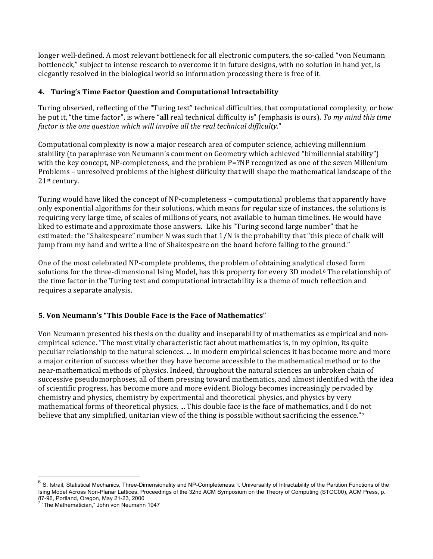longer well-defined. A most relevant bottleneck for all electronic computers, the so-called "von Neumann" bottleneck," subject to intense research to overcome it in future designs, with no solution in hand yet, is elegantly resolved in the biological world so information processing there is free of it.

## **4. Turing's'Time'Factor'Question'and'Computational'Intractability**

Turing observed, reflecting of the "Turing test" technical difficulties, that computational complexity, or how he put it, "the time factor", is where "all real technical difficulty is" (emphasis is ours). *To my mind this time* factor is the one question which will involve all the real technical difficulty."

Computational complexity is now a major research area of computer science, achieving millennium stability (to paraphrase von Neumann's comment on Geometry which achieved "bimillennial stability") with the key concept, NP-completeness, and the problem P=?NP recognized as one of the seven Millenium Problems – unresolved problems of the highest diificulty that will shape the mathematical landscape of the 21st century.

Turing would have liked the concept of NP-completeness – computational problems that apparently have only exponential algorithms for their solutions, which means for regular size of instances, the solutions is requiring very large time, of scales of millions of years, not available to human timelines. He would have liked to estimate and approximate those answers. Like his "Turing second large number" that he estimated: the "Shakespeare" number N was such that  $1/N$  is the probability that "this piece of chalk will jump from my hand and write a line of Shakespeare on the board before falling to the ground."

One of the most celebrated NP-complete problems, the problem of obtaining analytical closed form solutions for the three-dimensional Ising Model, has this property for every 3D model.<sup>6</sup> The relationship of the time factor in the Turing test and computational intractability is a theme of much reflection and requires a separate analysis.

### **5.'Von'Neumann's'"This'Double'Face'is'the'Face'of'Mathematics"**

Von Neumann presented his thesis on the duality and inseparability of mathematics as empirical and nonempirical science. "The most vitally characteristic fact about mathematics is, in my opinion, its quite peculiar relationship to the natural sciences. ... In modern empirical sciences it has become more and more a major criterion of success whether they have become accessible to the mathematical method or to the near-mathematical methods of physics. Indeed, throughout the natural sciences an unbroken chain of successive pseudomorphoses, all of them pressing toward mathematics, and almost identified with the idea of scientific progress, has become more and more evident. Biology becomes increasingly pervaded by chemistry and physics, chemistry by experimental and theoretical physics, and physics by very mathematical forms of theoretical physics. ... This double face is the face of mathematics, and I do not believe that any simplified, unitarian view of the thing is possible without sacrificing the essence."<sup>7</sup>

 <sup>6</sup> S. Istrail, Statistical Mechanics, Three-Dimensionality and NP-Completeness: I. Universality of Intractability of the Partition Functions of the Ising Model Across Non-Planar Lattices, Proceedings of the 32nd ACM Symposium on the Theory of Computing (STOC00), ACM Press, p.<br>87-96, Portland, Oregon, May 21-23, 2000

 $3<sup>7</sup>$  "The Mathematician," John von Neumann 1947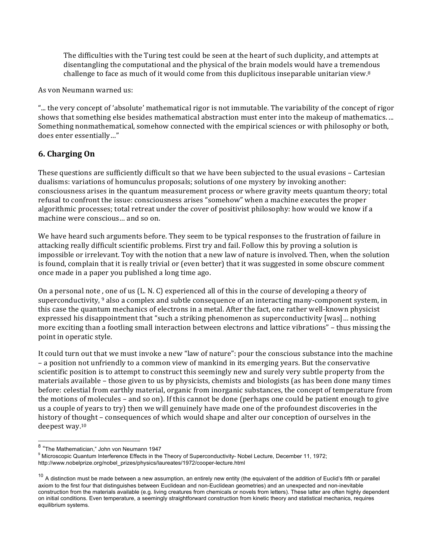The difficulties with the Turing test could be seen at the heart of such duplicity, and attempts at disentangling the computational and the physical of the brain models would have a tremendous challenge to face as much of it would come from this duplicitous inseparable unitarian view.<sup>8</sup>

As von Neumann warned us:

"... the very concept of 'absolute' mathematical rigor is not immutable. The variability of the concept of rigor shows that something else besides mathematical abstraction must enter into the makeup of mathematics. ... Something nonmathematical, somehow connected with the empirical sciences or with philosophy or both, does enter essentially..."

# **6.'Charging'On**

These questions are sufficiently difficult so that we have been subjected to the usual evasions – Cartesian dualisms: variations of homunculus proposals; solutions of one mystery by invoking another: consciousness arises in the quantum measurement process or where gravity meets quantum theory; total refusal to confront the issue: consciousness arises "somehow" when a machine executes the proper algorithmic processes; total retreat under the cover of positivist philosophy: how would we know if a machine were conscious... and so on.

We have heard such arguments before. They seem to be typical responses to the frustration of failure in attacking really difficult scientific problems. First try and fail. Follow this by proving a solution is impossible or irrelevant. Toy with the notion that a new law of nature is involved. Then, when the solution is found, complain that it is really trivial or (even better) that it was suggested in some obscure comment once made in a paper you published a long time ago.

On a personal note , one of us (L.N.C) experienced all of this in the course of developing a theory of superconductivity,  $9$  also a complex and subtle consequence of an interacting many-component system, in this case the quantum mechanics of electrons in a metal. After the fact, one rather well-known physicist expressed his disappointment that "such a striking phenomenon as superconductivity [was]... nothing more exciting than a footling small interaction between electrons and lattice vibrations" – thus missing the point in operatic style.

It could turn out that we must invoke a new "law of nature": pour the conscious substance into the machine – a position not unfriendly to a common view of mankind in its emerging years. But the conservative scientific position is to attempt to construct this seemingly new and surely very subtle property from the materials available – those given to us by physicists, chemists and biologists (as has been done many times before: celestial from earthly material, organic from inorganic substances, the concept of temperature from the motions of molecules – and so on). If this cannot be done (perhaps one could be patient enough to give us a couple of years to try) then we will genuinely have made one of the profoundest discoveries in the history of thought – consequences of which would shape and alter our conception of ourselves in the deepest way. $10$ 

 <sup>8</sup> "The Mathematician," John von Neumann 1947

<sup>&</sup>lt;sup>9</sup> Microscopic Quantum Interference Effects in the Theory of Superconductivity- Nobel Lecture, December 11, 1972; http://www.nobelprize.org/nobel\_prizes/physics/laureates/1972/cooper-lecture.html

<sup>&</sup>lt;sup>10</sup> A distinction must be made between a new assumption, an entirely new entity (the equivalent of the addition of Euclid's fifth or parallel axiom to the first four that distinguishes between Euclidean and non-Euclidean geometries) and an unexpected and non-inevitable construction from the materials available (e.g. living creatures from chemicals or novels from letters). These latter are often highly dependent on initial conditions. Even temperature, a seemingly straightforward construction from kinetic theory and statistical mechanics, requires equilibrium systems.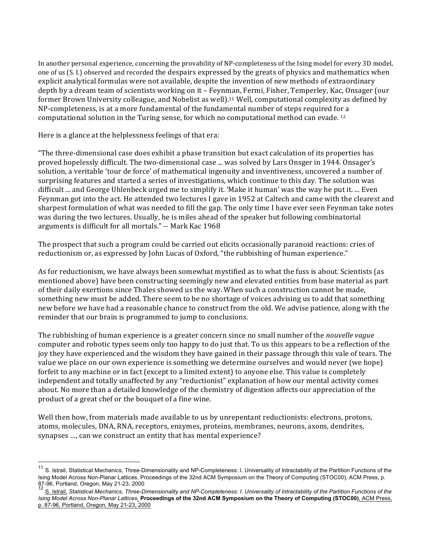In another personal experience, concerning the provability of NP-completeness of the Ising model for every 3D model. one of us (S. I.) observed and recorded the despairs expressed by the greats of physics and mathematics when explicit analytical formulas were not available, despite the invention of new methods of extraordinary depth by a dream team of scientists working on it – Feynman, Fermi, Fisher, Temperley, Kac, Onsager (our) former Brown University colleague, and Nobelist as well).<sup>11</sup> Well, computational complexity as defined by  $NP$ -completeness, is at a more fundamental of the fundamental number of steps required for a computational solution in the Turing sense, for which no computational method can evade.  $12$ 

Here is a glance at the helplessness feelings of that era:

"The three-dimensional case does exhibit a phase transition but exact calculation of its properties has proved hopelessly difficult. The two-dimensional case ... was solved by Lars Onsger in 1944. Onsager's solution, a veritable 'tour de force' of mathematical ingenuity and inventiveness, uncovered a number of surprising features and started a series of investigations, which continue to this day. The solution was difficult ... and George Uhlenbeck urged me to simplify it. 'Make it human' was the way he put it. ... Even Feynman got into the act. He attended two lectures I gave in 1952 at Caltech and came with the clearest and sharpest formulation of what was needed to fill the gap. The only time I have ever seen Feynman take notes was during the two lectures. Usually, he is miles ahead of the speaker but following combinatorial arguments is difficult for all mortals." -- Mark Kac 1968

The prospect that such a program could be carried out elicits occasionally paranoid reactions: cries of reductionism or, as expressed by John Lucas of Oxford, "the rubbishing of human experience."

As for reductionism, we have always been somewhat mystified as to what the fuss is about. Scientists (as mentioned above) have been constructing seemingly new and elevated entities from base material as part of their daily exertions since Thales showed us the way. When such a construction cannot be made, something new must be added. There seem to be no shortage of voices advising us to add that something new before we have had a reasonable chance to construct from the old. We advise patience, along with the reminder that our brain is programmed to jump to conclusions.

The rubbishing of human experience is a greater concern since no small number of the *nouvelle vague* computer and robotic types seem only too happy to do just that. To us this appears to be a reflection of the joy they have experienced and the wisdom they have gained in their passage through this vale of tears. The value we place on our own experience is something we determine ourselves and would never (we hope) forfeit to any machine or in fact (except to a limited extent) to anyone else. This value is completely independent and totally unaffected by any "reductionist" explanation of how our mental activity comes about. No more than a detailed knowledge of the chemistry of digestion affects our appreciation of the product of a great chef or the bouquet of a fine wine.

Well then how, from materials made available to us by unrepentant reductionists: electrons, protons, atoms, molecules, DNA, RNA, receptors, enzymes, proteins, membranes, neurons, axons, dendrites, synapses ..., can we construct an entity that has mental experience?

<sup>&</sup>lt;sup>11</sup> S. Istrail, Statistical Mechanics, Three-Dimensionality and NP-Completeness: I. Universality of Intractability of the Partition Functions of the Ising Model Across Non-Planar Lattices, Proceedings of the 32nd ACM Symposium on the Theory of Computing (STOC00), ACM Press, p.<br>87-96, Portland, Oregon, May 21-23, 2000

S. Istrail, Statistical Mechanics, Three-Dimensionality and NP-Completeness: I. Universality of Intractability of the Partition Functions of the *Ising Model Across Non-Planar Lattices*, **Proceedings of the 32nd ACM Symposium on the Theory of Computing (STOC00)**, ACM Press, p. 87-96, Portland, Oregon, May 21-23, 2000